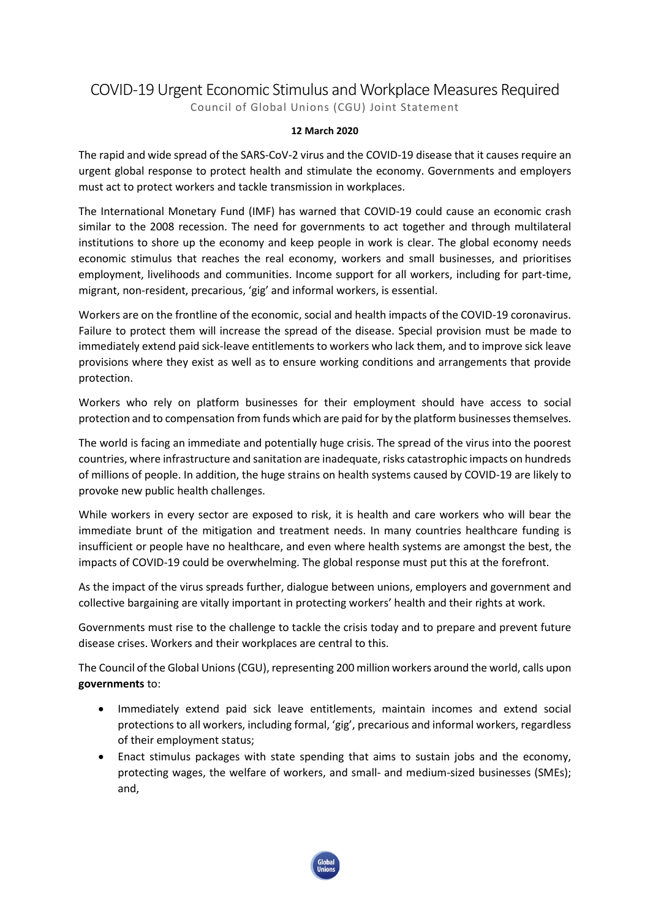## COVID-19 Urgent Economic Stimulus and Workplace Measures Required Council of Global Unions (CGU) Joint Statement

## **12 March 2020**

The rapid and wide spread of the SARS-CoV-2 virus and the COVID-19 disease that it causes require an urgent global response to protect health and stimulate the economy. Governments and employers must act to protect workers and tackle transmission in workplaces.

The International Monetary Fund (IMF) has warned that COVID-19 could cause an economic crash similar to the 2008 recession. The need for governments to act together and through multilateral institutions to shore up the economy and keep people in work is clear. The global economy needs economic stimulus that reaches the real economy, workers and small businesses, and prioritises employment, livelihoods and communities. Income support for all workers, including for part-time, migrant, non-resident, precarious, 'gig' and informal workers, is essential.

Workers are on the frontline of the economic, social and health impacts of the COVID-19 coronavirus. Failure to protect them will increase the spread of the disease. Special provision must be made to immediately extend paid sick-leave entitlements to workers who lack them, and to improve sick leave provisions where they exist as well as to ensure working conditions and arrangements that provide protection.

Workers who rely on platform businesses for their employment should have access to social protection and to compensation from funds which are paid for by the platform businesses themselves.

The world is facing an immediate and potentially huge crisis. The spread of the virus into the poorest countries, where infrastructure and sanitation are inadequate, risks catastrophic impacts on hundreds of millions of people. In addition, the huge strains on health systems caused by COVID-19 are likely to provoke new public health challenges.

While workers in every sector are exposed to risk, it is health and care workers who will bear the immediate brunt of the mitigation and treatment needs. In many countries healthcare funding is insufficient or people have no healthcare, and even where health systems are amongst the best, the impacts of COVID-19 could be overwhelming. The global response must put this at the forefront.

As the impact of the virus spreads further, dialogue between unions, employers and government and collective bargaining are vitally important in protecting workers' health and their rights at work.

Governments must rise to the challenge to tackle the crisis today and to prepare and prevent future disease crises. Workers and their workplaces are central to this.

The Council of the Global Unions (CGU), representing 200 million workers around the world, calls upon **governments** to:

- Immediately extend paid sick leave entitlements, maintain incomes and extend social protections to all workers, including formal, 'gig', precarious and informal workers, regardless of their employment status;
- Enact stimulus packages with state spending that aims to sustain jobs and the economy, protecting wages, the welfare of workers, and small- and medium-sized businesses (SMEs); and,